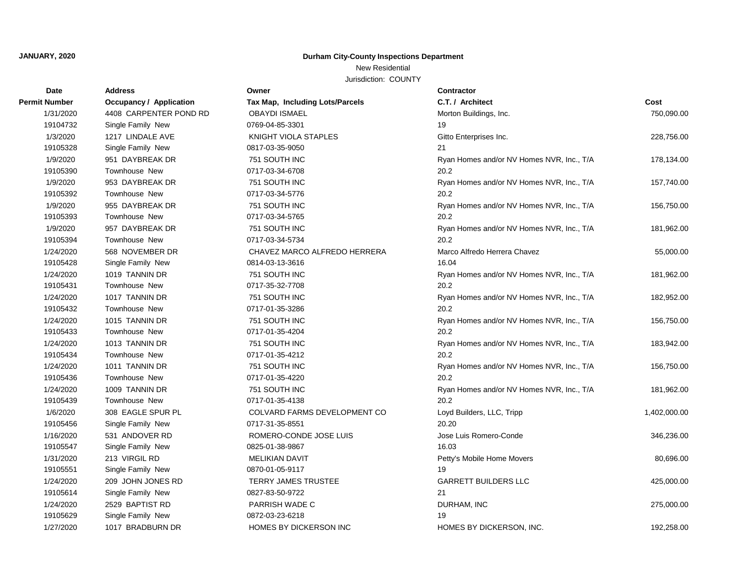# **JANUARY, 2020 Durham City-County Inspections Department**

## New Residential

Jurisdiction: COUNTY

| Date                 | <b>Address</b>                 | Owner                           | Contractor                                |              |
|----------------------|--------------------------------|---------------------------------|-------------------------------------------|--------------|
| <b>Permit Number</b> | <b>Occupancy / Application</b> | Tax Map, Including Lots/Parcels | C.T. / Architect                          | Cost         |
| 1/31/2020            | 4408 CARPENTER POND RD         | <b>OBAYDI ISMAEL</b>            | Morton Buildings, Inc.                    | 750,090.00   |
| 19104732             | Single Family New              | 0769-04-85-3301                 | 19                                        |              |
| 1/3/2020             | 1217 LINDALE AVE               | KNIGHT VIOLA STAPLES            | Gitto Enterprises Inc.                    | 228,756.00   |
| 19105328             | Single Family New              | 0817-03-35-9050                 | 21                                        |              |
| 1/9/2020             | 951 DAYBREAK DR                | 751 SOUTH INC                   | Ryan Homes and/or NV Homes NVR, Inc., T/A | 178,134.00   |
| 19105390             | <b>Townhouse New</b>           | 0717-03-34-6708                 | 20.2                                      |              |
| 1/9/2020             | 953 DAYBREAK DR                | 751 SOUTH INC                   | Ryan Homes and/or NV Homes NVR, Inc., T/A | 157,740.00   |
| 19105392             | Townhouse New                  | 0717-03-34-5776                 | 20.2                                      |              |
| 1/9/2020             | 955 DAYBREAK DR                | 751 SOUTH INC                   | Ryan Homes and/or NV Homes NVR, Inc., T/A | 156,750.00   |
| 19105393             | Townhouse New                  | 0717-03-34-5765                 | 20.2                                      |              |
| 1/9/2020             | 957 DAYBREAK DR                | 751 SOUTH INC                   | Ryan Homes and/or NV Homes NVR, Inc., T/A | 181,962.00   |
| 19105394             | <b>Townhouse New</b>           | 0717-03-34-5734                 | 20.2                                      |              |
| 1/24/2020            | 568 NOVEMBER DR                | CHAVEZ MARCO ALFREDO HERRERA    | Marco Alfredo Herrera Chavez              | 55,000.00    |
| 19105428             | Single Family New              | 0814-03-13-3616                 | 16.04                                     |              |
| 1/24/2020            | 1019 TANNIN DR                 | 751 SOUTH INC                   | Ryan Homes and/or NV Homes NVR, Inc., T/A | 181,962.00   |
| 19105431             | Townhouse New                  | 0717-35-32-7708                 | 20.2                                      |              |
| 1/24/2020            | 1017 TANNIN DR                 | 751 SOUTH INC                   | Ryan Homes and/or NV Homes NVR, Inc., T/A | 182,952.00   |
| 19105432             | <b>Townhouse New</b>           | 0717-01-35-3286                 | 20.2                                      |              |
| 1/24/2020            | 1015 TANNIN DR                 | 751 SOUTH INC                   | Ryan Homes and/or NV Homes NVR, Inc., T/A | 156,750.00   |
| 19105433             | <b>Townhouse New</b>           | 0717-01-35-4204                 | 20.2                                      |              |
| 1/24/2020            | 1013 TANNIN DR                 | 751 SOUTH INC                   | Ryan Homes and/or NV Homes NVR, Inc., T/A | 183,942.00   |
| 19105434             | Townhouse New                  | 0717-01-35-4212                 | 20.2                                      |              |
| 1/24/2020            | 1011 TANNIN DR                 | 751 SOUTH INC                   | Ryan Homes and/or NV Homes NVR, Inc., T/A | 156,750.00   |
| 19105436             | Townhouse New                  | 0717-01-35-4220                 | 20.2                                      |              |
| 1/24/2020            | 1009 TANNIN DR                 | 751 SOUTH INC                   | Ryan Homes and/or NV Homes NVR, Inc., T/A | 181,962.00   |
| 19105439             | Townhouse New                  | 0717-01-35-4138                 | 20.2                                      |              |
| 1/6/2020             | 308 EAGLE SPUR PL              | COLVARD FARMS DEVELOPMENT CO    | Loyd Builders, LLC, Tripp                 | 1,402,000.00 |
| 19105456             | Single Family New              | 0717-31-35-8551                 | 20.20                                     |              |
| 1/16/2020            | 531 ANDOVER RD                 | ROMERO-CONDE JOSE LUIS          | Jose Luis Romero-Conde                    | 346,236.00   |
| 19105547             | Single Family New              | 0825-01-38-9867                 | 16.03                                     |              |
| 1/31/2020            | 213 VIRGIL RD                  | <b>MELIKIAN DAVIT</b>           | Petty's Mobile Home Movers                | 80,696.00    |
| 19105551             | Single Family New              | 0870-01-05-9117                 | 19                                        |              |
| 1/24/2020            | 209 JOHN JONES RD              | <b>TERRY JAMES TRUSTEE</b>      | <b>GARRETT BUILDERS LLC</b>               | 425,000.00   |
| 19105614             | Single Family New              | 0827-83-50-9722                 | 21                                        |              |
| 1/24/2020            | 2529 BAPTIST RD                | PARRISH WADE C                  | DURHAM, INC                               | 275,000.00   |
| 19105629             | Single Family New              | 0872-03-23-6218                 | 19                                        |              |
| 1/27/2020            | 1017 BRADBURN DR               | <b>HOMES BY DICKERSON INC</b>   | HOMES BY DICKERSON, INC.                  | 192,258.00   |